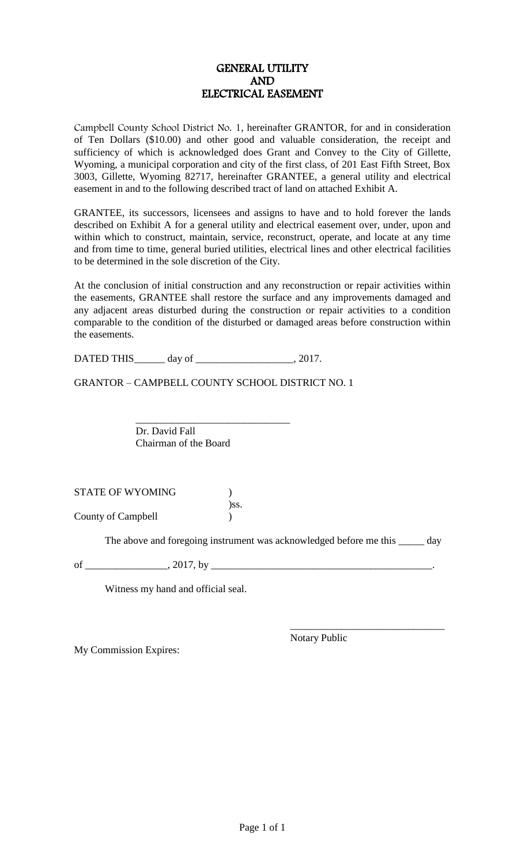## GENERAL UTILITY AND ELECTRICAL EASEMENT

Campbell County School District No. 1, hereinafter GRANTOR, for and in consideration of Ten Dollars (\$10.00) and other good and valuable consideration, the receipt and sufficiency of which is acknowledged does Grant and Convey to the City of Gillette, Wyoming, a municipal corporation and city of the first class, of 201 East Fifth Street, Box 3003, Gillette, Wyoming 82717, hereinafter GRANTEE, a general utility and electrical easement in and to the following described tract of land on attached Exhibit A.

GRANTEE, its successors, licensees and assigns to have and to hold forever the lands described on Exhibit A for a general utility and electrical easement over, under, upon and within which to construct, maintain, service, reconstruct, operate, and locate at any time and from time to time, general buried utilities, electrical lines and other electrical facilities to be determined in the sole discretion of the City.

At the conclusion of initial construction and any reconstruction or repair activities within the easements, GRANTEE shall restore the surface and any improvements damaged and any adjacent areas disturbed during the construction or repair activities to a condition comparable to the condition of the disturbed or damaged areas before construction within the easements.

DATED THIS\_\_\_\_\_\_\_ day of \_\_\_\_\_\_\_\_\_\_\_\_\_\_\_\_\_\_\_\_\_\_\_, 2017.

GRANTOR – CAMPBELL COUNTY SCHOOL DISTRICT NO. 1

\_\_\_\_\_\_\_\_\_\_\_\_\_\_\_\_\_\_\_\_\_\_\_\_\_\_\_\_\_\_ Dr. David Fall Chairman of the Board

STATE OF WYOMING ) )ss. County of Campbell )

The above and foregoing instrument was acknowledged before me this \_\_\_\_\_\_ day

of \_\_\_\_\_\_\_\_\_\_\_\_\_\_\_\_, 2017, by \_\_\_\_\_\_\_\_\_\_\_\_\_\_\_\_\_\_\_\_\_\_\_\_\_\_\_\_\_\_\_\_\_\_\_\_\_\_\_\_\_\_\_.

Witness my hand and official seal.

My Commission Expires:

Notary Public

\_\_\_\_\_\_\_\_\_\_\_\_\_\_\_\_\_\_\_\_\_\_\_\_\_\_\_\_\_\_